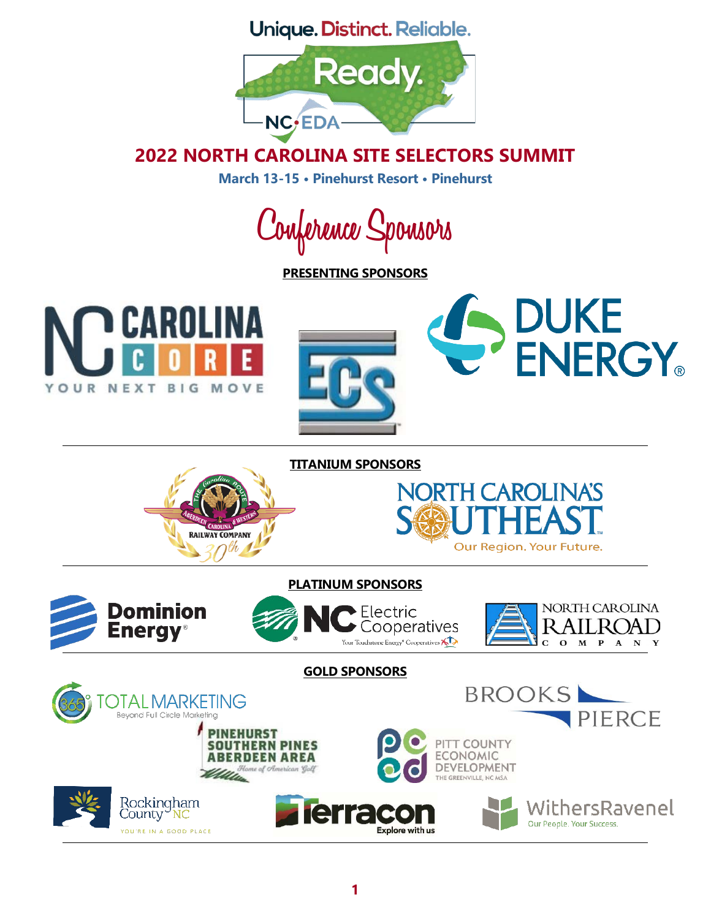Unique. Distinct. Reliable.



# **2022 NORTH CAROLINA SITE SELECTORS SUMMIT**

**March 13-15 • Pinehurst Resort • Pinehurst**

**Conference Sponsors**

**PRESENTING SPONSORS**







#### **TITANIUM SPONSORS**





## **PLATINUM SPONSORS**





**GOLD SPONSORSBROOKS** TALMARKETING Beyond Full Circle Marketing PIERCE **PINEHURST** PITT COUNTY **SOUTHERN PINES ECONOMIC BERDEEN AREA** DEVELOPMENT u of American Golf THE GREENVILLE, NC MSA Rockingham<br>County <mark>NC</mark> **ierracc** WithersRavenel Our People. Your Success. **Explore with us** YOU'RE IN A GOOD PLACE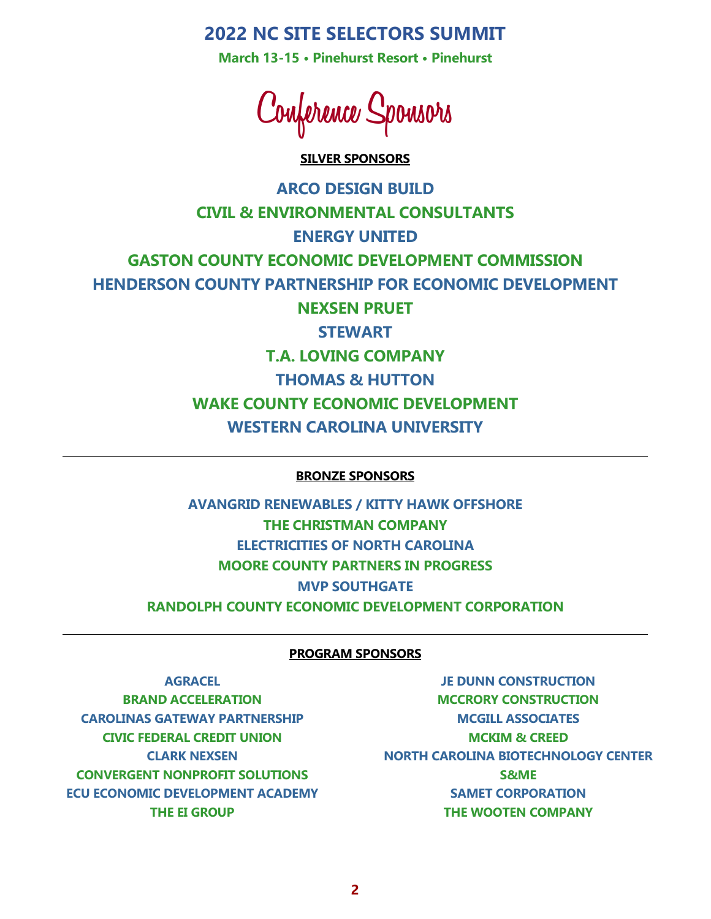**March 13-15 • Pinehurst Resort • Pinehurst**

**Conference Sponsors**

#### **SILVER SPONSORS**

**ARCO DESIGN BUILD CIVIL & ENVIRONMENTAL CONSULTANTS ENERGY UNITED GASTON COUNTY ECONOMIC DEVELOPMENT COMMISSION HENDERSON COUNTY PARTNERSHIP FOR ECONOMIC DEVELOPMENT NEXSEN PRUET STEWART T.A. LOVING COMPANY THOMAS & HUTTON WAKE COUNTY ECONOMIC DEVELOPMENT WESTERN CAROLINA UNIVERSITY**

#### **BRONZE SPONSORS**

**AVANGRID RENEWABLES / KITTY HAWK OFFSHORE THE CHRISTMAN COMPANY ELECTRICITIES OF NORTH CAROLINA MOORE COUNTY PARTNERS IN PROGRESS MVP SOUTHGATE RANDOLPH COUNTY ECONOMIC DEVELOPMENT CORPORATION**

#### **PROGRAM SPONSORS**

**AGRACEL BRAND ACCELERATION CAROLINAS GATEWAY PARTNERSHIP CIVIC FEDERAL CREDIT UNION CLARK NEXSEN CONVERGENT NONPROFIT SOLUTIONS ECU ECONOMIC DEVELOPMENT ACADEMY THE EI GROUP**

**JE DUNN CONSTRUCTION MCCRORY CONSTRUCTION MCGILL ASSOCIATES MCKIM & CREED NORTH CAROLINA BIOTECHNOLOGY CENTER S&ME SAMET CORPORATION THE WOOTEN COMPANY**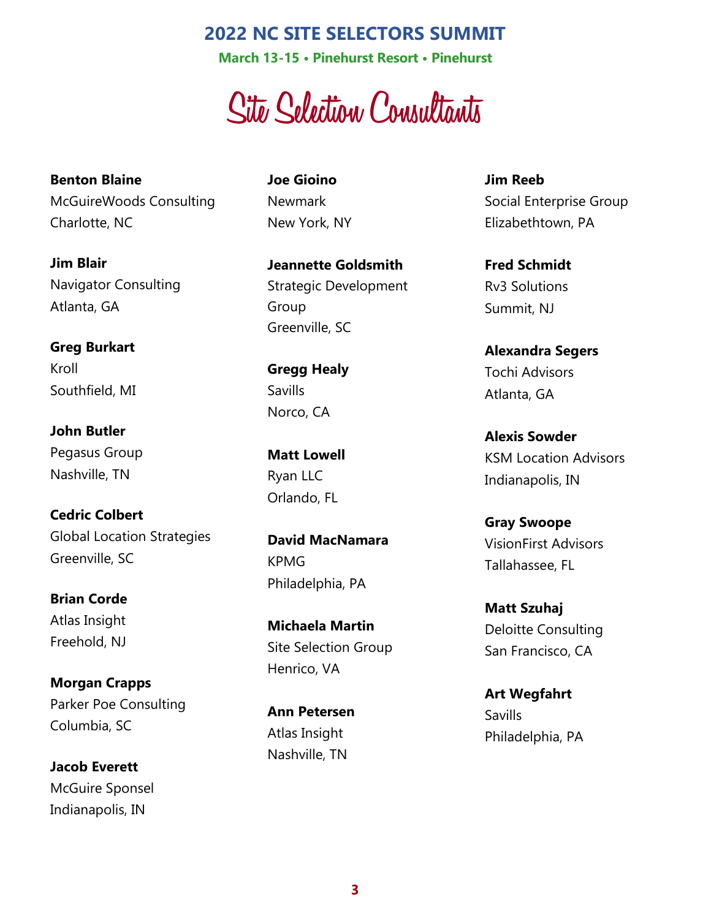**March 13-15 • Pinehurst Resort • Pinehurst**

**Site Selection Consultants**

**Benton Blaine** McGuireWoods Consulting Charlotte, NC

**Jim Blair** Navigator Consulting Atlanta, GA

**Greg Burkart** Kroll Southfield, MI

**John Butler** Pegasus Group Nashville, TN

**Cedric Colbert** Global Location Strategies Greenville, SC

**Brian Corde** Atlas Insight Freehold, NJ

**Morgan Crapps** Parker Poe Consulting Columbia, SC

**Jacob Everett** McGuire Sponsel Indianapolis, IN

**Joe Gioino** Newmark New York, NY

**Jeannette Goldsmith** Strategic Development Group Greenville, SC

**Gregg Healy** Savills Norco, CA

**Matt Lowell** Ryan LLC Orlando, FL

**David MacNamara** KPMG Philadelphia, PA

**Michaela Martin** Site Selection Group Henrico, VA

**Ann Petersen** Atlas Insight Nashville, TN

**Jim Reeb** Social Enterprise Group Elizabethtown, PA

**Fred Schmidt** Rv3 Solutions Summit, NJ

**Alexandra Segers** Tochi Advisors Atlanta, GA

**Alexis Sowder** KSM Location Advisors Indianapolis, IN

**Gray Swoope** VisionFirst Advisors Tallahassee, FL

**Matt Szuhaj** Deloitte Consulting San Francisco, CA

**Art Wegfahrt Savills** Philadelphia, PA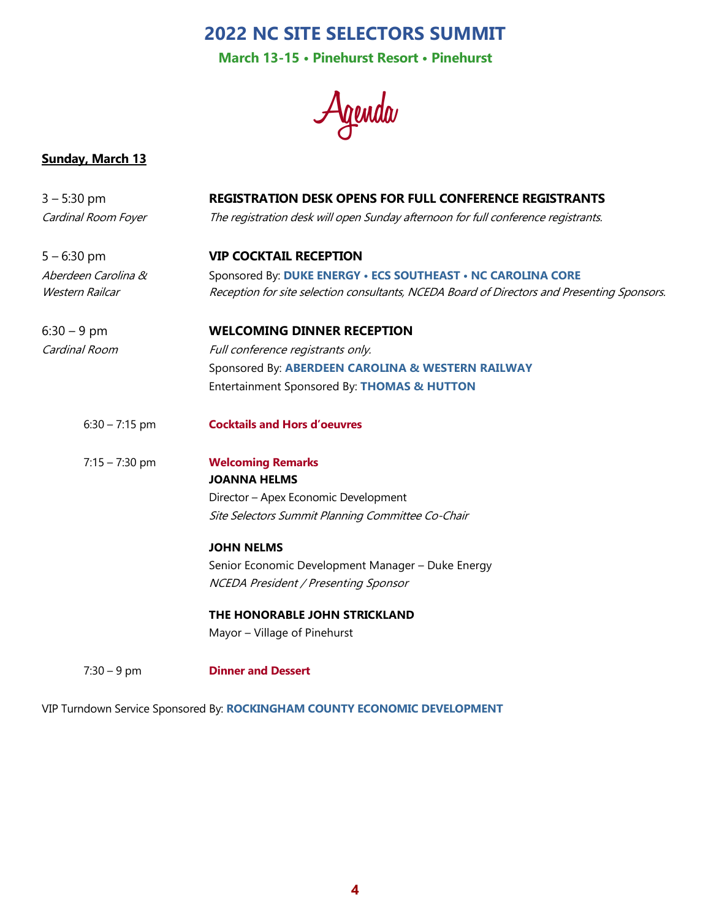**March 13-15 • Pinehurst Resort • Pinehurst**

**Agenda**

#### **Sunday, March 13**

| $3 - 5:30$ pm       | <b>REGISTRATION DESK OPENS FOR FULL CONFERENCE REGISTRANTS</b>                              |
|---------------------|---------------------------------------------------------------------------------------------|
| Cardinal Room Foyer | The registration desk will open Sunday afternoon for full conference registrants.           |
| $5 - 6:30$ pm       | <b>VIP COCKTAIL RECEPTION</b>                                                               |
| Aberdeen Carolina & | Sponsored By: DUKE ENERGY . ECS SOUTHEAST . NC CAROLINA CORE                                |
| Western Railcar     | Reception for site selection consultants, NCEDA Board of Directors and Presenting Sponsors. |
| $6:30 - 9$ pm       | <b>WELCOMING DINNER RECEPTION</b>                                                           |
| Cardinal Room       | Full conference registrants only.                                                           |
|                     | Sponsored By: ABERDEEN CAROLINA & WESTERN RAILWAY                                           |
|                     | Entertainment Sponsored By: THOMAS & HUTTON                                                 |
| $6:30 - 7:15$ pm    | <b>Cocktails and Hors d'oeuvres</b>                                                         |
| $7:15 - 7:30$ pm    | <b>Welcoming Remarks</b>                                                                    |
|                     | <b>JOANNA HELMS</b>                                                                         |
|                     | Director - Apex Economic Development                                                        |
|                     | Site Selectors Summit Planning Committee Co-Chair                                           |
|                     | <b>JOHN NELMS</b>                                                                           |
|                     | Senior Economic Development Manager - Duke Energy                                           |
|                     | NCEDA President / Presenting Sponsor                                                        |
|                     | THE HONORABLE JOHN STRICKLAND                                                               |
|                     | Mayor - Village of Pinehurst                                                                |
| $7:30 - 9$ pm       | <b>Dinner and Dessert</b>                                                                   |

VIP Turndown Service Sponsored By: **ROCKINGHAM COUNTY ECONOMIC DEVELOPMENT**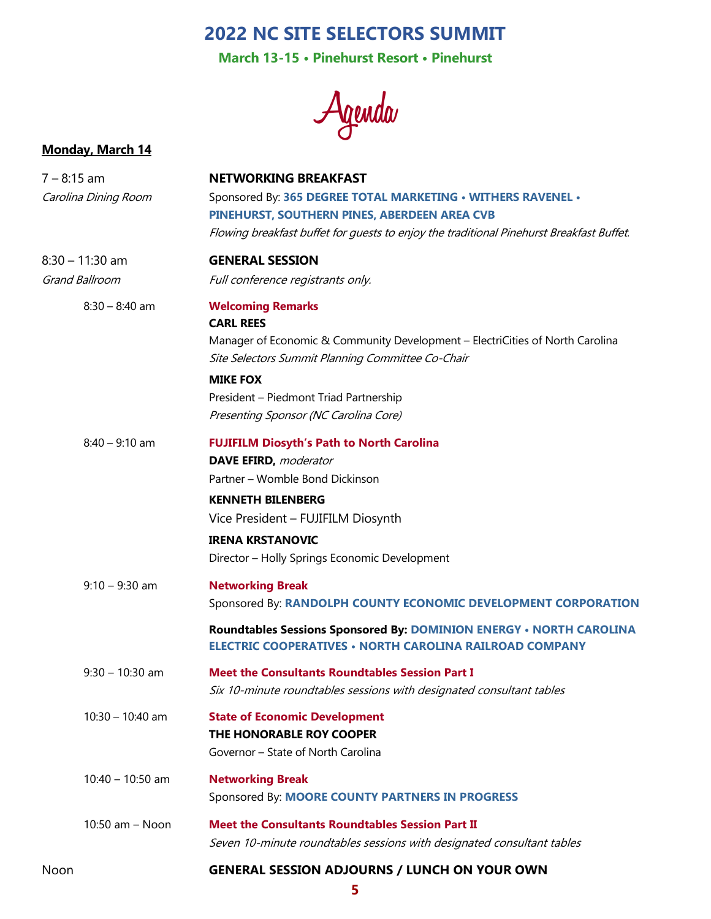**March 13-15 • Pinehurst Resort • Pinehurst**

**Agenda**

## **Monday, March 14**

| 7 – 8:15 am          | <b>NETWORKING BREAKFAST</b>                                                              |
|----------------------|------------------------------------------------------------------------------------------|
| Carolina Dining Room | Sponsored By: 365 DEGREE TOTAL MARKETING . WITHERS RAVENEL .                             |
|                      | PINEHURST, SOUTHERN PINES, ABERDEEN AREA CVB                                             |
|                      | Flowing breakfast buffet for guests to enjoy the traditional Pinehurst Breakfast Buffet. |
| 8:30 - 11:30 am      | <b>GENERAL SESSION</b>                                                                   |
| Grand Ballroom       | Full conference registrants only.                                                        |
| $8:30 - 8:40$ am     | <b>Welcoming Remarks</b>                                                                 |
|                      | <b>CARL REES</b>                                                                         |
|                      | Manager of Economic & Community Development - ElectriCities of North Carolina            |
|                      | Site Selectors Summit Planning Committee Co-Chair                                        |
|                      | <b>MIKE FOX</b>                                                                          |
|                      | President - Piedmont Triad Partnership                                                   |
|                      | Presenting Sponsor (NC Carolina Core)                                                    |
| $8:40 - 9:10$ am     | <b>FUJIFILM Diosyth's Path to North Carolina</b>                                         |
|                      | <b>DAVE EFIRD, moderator</b>                                                             |
|                      | Partner - Womble Bond Dickinson                                                          |
|                      | <b>KENNETH BILENBERG</b>                                                                 |
|                      | Vice President - FUJIFILM Diosynth                                                       |
|                      | <b>IRENA KRSTANOVIC</b>                                                                  |
|                      | Director - Holly Springs Economic Development                                            |
| $9:10 - 9:30$ am     | <b>Networking Break</b>                                                                  |
|                      | Sponsored By: RANDOLPH COUNTY ECONOMIC DEVELOPMENT CORPORATION                           |
|                      | Roundtables Sessions Sponsored By: DOMINION ENERGY . NORTH CAROLINA                      |
|                      | <b>ELECTRIC COOPERATIVES . NORTH CAROLINA RAILROAD COMPANY</b>                           |
| $9:30 - 10:30$ am    | <b>Meet the Consultants Roundtables Session Part I</b>                                   |
|                      | Six 10-minute roundtables sessions with designated consultant tables                     |
| $10:30 - 10:40$ am   | <b>State of Economic Development</b>                                                     |
|                      | THE HONORABLE ROY COOPER                                                                 |
|                      | Governor - State of North Carolina                                                       |
| $10:40 - 10:50$ am   | <b>Networking Break</b>                                                                  |
|                      | Sponsored By: MOORE COUNTY PARTNERS IN PROGRESS                                          |
| 10:50 am - Noon      | <b>Meet the Consultants Roundtables Session Part II</b>                                  |
|                      | Seven 10-minute roundtables sessions with designated consultant tables                   |
| Noon                 | <b>GENERAL SESSION ADJOURNS / LUNCH ON YOUR OWN</b>                                      |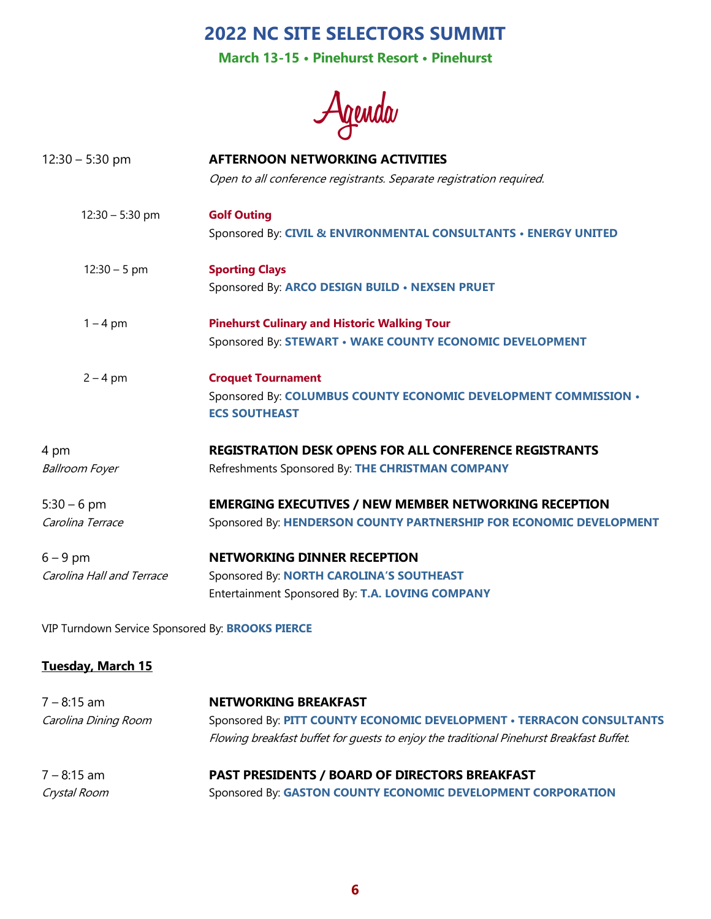**March 13-15 • Pinehurst Resort • Pinehurst**

**Agenda**

| $12:30 - 5:30$ pm         | <b>AFTERNOON NETWORKING ACTIVITIES</b>                                                  |
|---------------------------|-----------------------------------------------------------------------------------------|
|                           | Open to all conference registrants. Separate registration required.                     |
| $12:30 - 5:30$ pm         | <b>Golf Outing</b>                                                                      |
|                           | Sponsored By: CIVIL & ENVIRONMENTAL CONSULTANTS · ENERGY UNITED                         |
| $12:30 - 5$ pm            | <b>Sporting Clays</b>                                                                   |
|                           | Sponsored By: ARCO DESIGN BUILD . NEXSEN PRUET                                          |
| $1 - 4$ pm                | <b>Pinehurst Culinary and Historic Walking Tour</b>                                     |
|                           | Sponsored By: STEWART . WAKE COUNTY ECONOMIC DEVELOPMENT                                |
| $2 - 4$ pm                | <b>Croquet Tournament</b>                                                               |
|                           | Sponsored By: COLUMBUS COUNTY ECONOMIC DEVELOPMENT COMMISSION .<br><b>ECS SOUTHEAST</b> |
| 4 pm                      | <b>REGISTRATION DESK OPENS FOR ALL CONFERENCE REGISTRANTS</b>                           |
| <b>Ballroom Foyer</b>     | Refreshments Sponsored By: THE CHRISTMAN COMPANY                                        |
| $5:30 - 6$ pm             | <b>EMERGING EXECUTIVES / NEW MEMBER NETWORKING RECEPTION</b>                            |
| Carolina Terrace          | Sponsored By: HENDERSON COUNTY PARTNERSHIP FOR ECONOMIC DEVELOPMENT                     |
| $6 - 9$ pm                | <b>NETWORKING DINNER RECEPTION</b>                                                      |
| Carolina Hall and Terrace | Sponsored By: NORTH CAROLINA'S SOUTHEAST                                                |
|                           | Entertainment Sponsored By: T.A. LOVING COMPANY                                         |

VIP Turndown Service Sponsored By: **BROOKS PIERCE**

### **Tuesday, March 15**

| 7 – 8:15 am          | <b>NETWORKING BREAKFAST</b>                                                              |
|----------------------|------------------------------------------------------------------------------------------|
| Carolina Dining Room | Sponsored By: PITT COUNTY ECONOMIC DEVELOPMENT . TERRACON CONSULTANTS                    |
|                      | Flowing breakfast buffet for quests to enjoy the traditional Pinehurst Breakfast Buffet. |
| $7 - 8:15$ am        | <b>PAST PRESIDENTS / BOARD OF DIRECTORS BREAKFAST</b>                                    |
| Crystal Room         | Sponsored By: GASTON COUNTY ECONOMIC DEVELOPMENT CORPORATION                             |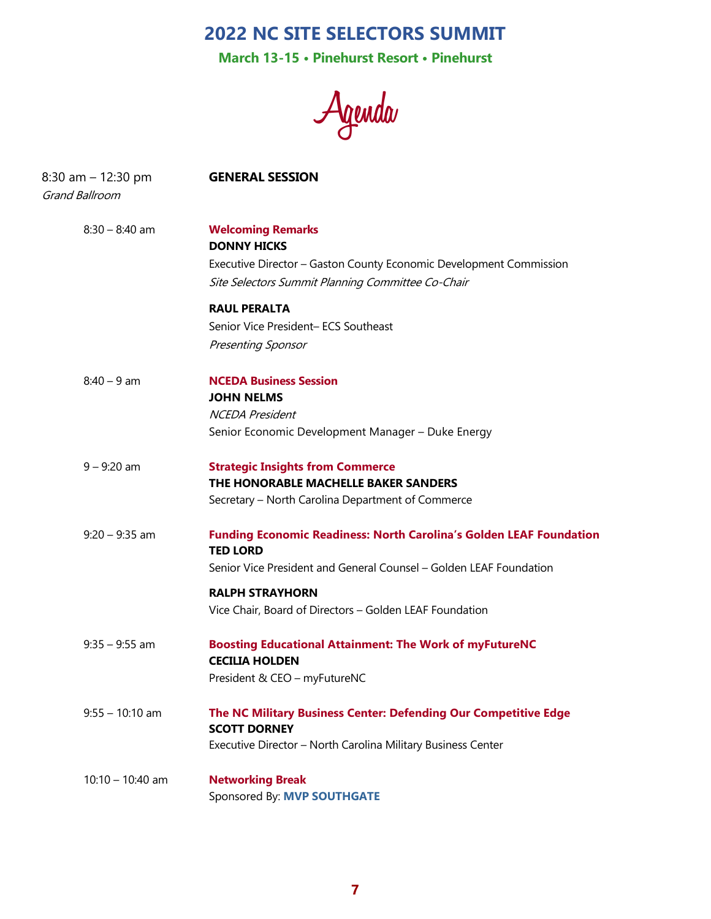**March 13-15 • Pinehurst Resort • Pinehurst**

**Agenda**

| $8:30$ am $-12:30$ pm<br>Grand Ballroom | <b>GENERAL SESSION</b>                                                                                                  |
|-----------------------------------------|-------------------------------------------------------------------------------------------------------------------------|
| $8:30 - 8:40$ am                        | <b>Welcoming Remarks</b><br><b>DONNY HICKS</b>                                                                          |
|                                         | Executive Director – Gaston County Economic Development Commission<br>Site Selectors Summit Planning Committee Co-Chair |
|                                         | <b>RAUL PERALTA</b>                                                                                                     |
|                                         | Senior Vice President- ECS Southeast                                                                                    |
|                                         | <b>Presenting Sponsor</b>                                                                                               |
| $8:40 - 9$ am                           | <b>NCEDA Business Session</b>                                                                                           |
|                                         | <b>JOHN NELMS</b>                                                                                                       |
|                                         | <b>NCEDA President</b>                                                                                                  |
|                                         | Senior Economic Development Manager - Duke Energy                                                                       |
| $9 - 9:20$ am                           | <b>Strategic Insights from Commerce</b><br>THE HONORABLE MACHELLE BAKER SANDERS                                         |
|                                         |                                                                                                                         |
|                                         | Secretary – North Carolina Department of Commerce                                                                       |
| $9:20 - 9:35$ am                        | <b>Funding Economic Readiness: North Carolina's Golden LEAF Foundation</b><br><b>TED LORD</b>                           |
|                                         | Senior Vice President and General Counsel - Golden LEAF Foundation                                                      |
|                                         | <b>RALPH STRAYHORN</b>                                                                                                  |
|                                         | Vice Chair, Board of Directors - Golden LEAF Foundation                                                                 |
| $9:35 - 9:55$ am                        | <b>Boosting Educational Attainment: The Work of myFutureNC</b><br><b>CECILIA HOLDEN</b>                                 |
|                                         | President & CEO - myFutureNC                                                                                            |
| $9:55 - 10:10$ am                       | The NC Military Business Center: Defending Our Competitive Edge<br><b>SCOTT DORNEY</b>                                  |
|                                         | Executive Director - North Carolina Military Business Center                                                            |
| $10:10 - 10:40$ am                      | <b>Networking Break</b>                                                                                                 |
|                                         | Sponsored By: MVP SOUTHGATE                                                                                             |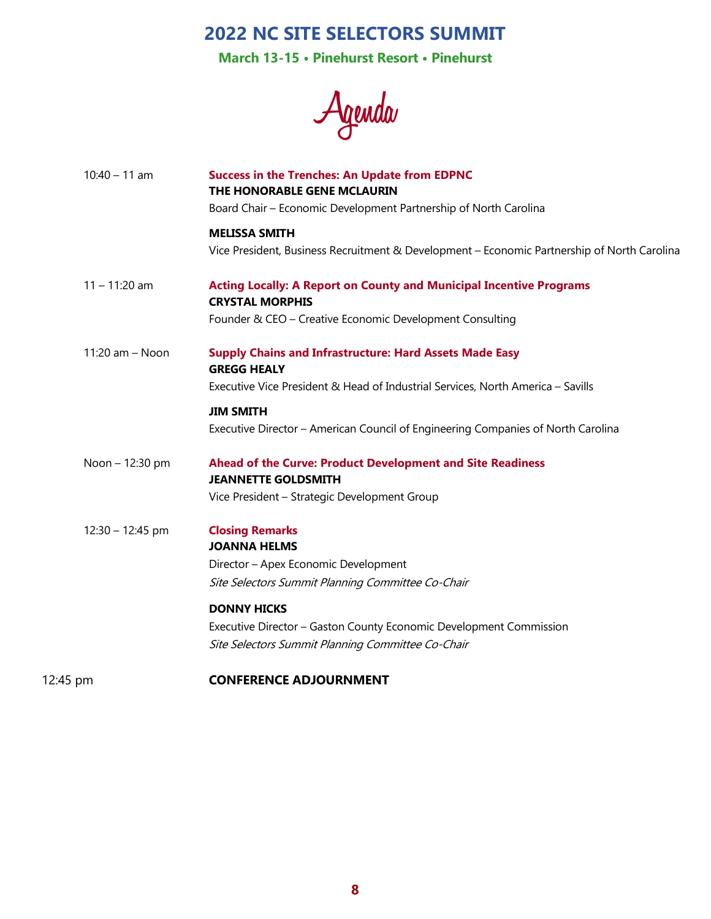**March 13-15 • Pinehurst Resort • Pinehurst**

**Agenda**

| $10:40 - 11$ am   | <b>Success in the Trenches: An Update from EDPNC</b><br>THE HONORABLE GENE MCLAURIN<br>Board Chair - Economic Development Partnership of North Carolina |
|-------------------|---------------------------------------------------------------------------------------------------------------------------------------------------------|
|                   | <b>MELISSA SMITH</b><br>Vice President, Business Recruitment & Development - Economic Partnership of North Carolina                                     |
| $11 - 11:20$ am   | <b>Acting Locally: A Report on County and Municipal Incentive Programs</b><br><b>CRYSTAL MORPHIS</b>                                                    |
|                   | Founder & CEO - Creative Economic Development Consulting                                                                                                |
| $11:20$ am - Noon | <b>Supply Chains and Infrastructure: Hard Assets Made Easy</b><br><b>GREGG HEALY</b>                                                                    |
|                   | Executive Vice President & Head of Industrial Services, North America - Savills                                                                         |
|                   | <b>JIM SMITH</b><br>Executive Director - American Council of Engineering Companies of North Carolina                                                    |
| Noon - 12:30 pm   | Ahead of the Curve: Product Development and Site Readiness<br><b>JEANNETTE GOLDSMITH</b>                                                                |
|                   | Vice President - Strategic Development Group                                                                                                            |
| 12:30 - 12:45 pm  | <b>Closing Remarks</b><br><b>JOANNA HELMS</b>                                                                                                           |
|                   | Director - Apex Economic Development                                                                                                                    |
|                   | Site Selectors Summit Planning Committee Co-Chair                                                                                                       |
|                   | <b>DONNY HICKS</b>                                                                                                                                      |
|                   | Executive Director - Gaston County Economic Development Commission                                                                                      |
|                   | Site Selectors Summit Planning Committee Co-Chair                                                                                                       |
| 12:45 pm          | <b>CONFERENCE ADJOURNMENT</b>                                                                                                                           |